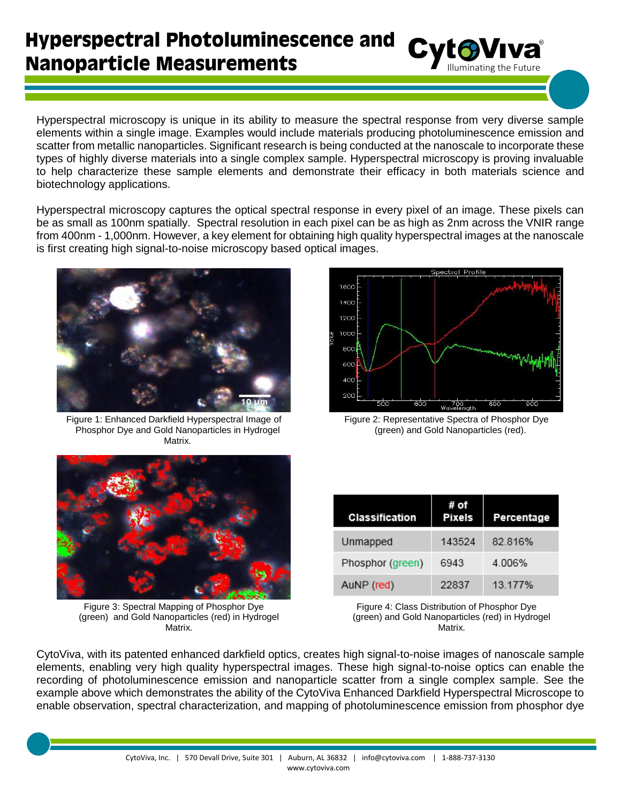## **Hyperspectral Photoluminescence and Nanoparticle Measurements**

Hyperspectral microscopy is unique in its ability to measure the spectral response from very diverse sample elements within a single image. Examples would include materials producing photoluminescence emission and scatter from metallic nanoparticles. Significant research is being conducted at the nanoscale to incorporate these types of highly diverse materials into a single complex sample. Hyperspectral microscopy is proving invaluable to help characterize these sample elements and demonstrate their efficacy in both materials science and biotechnology applications.

Hyperspectral microscopy captures the optical spectral response in every pixel of an image. These pixels can be as small as 100nm spatially. Spectral resolution in each pixel can be as high as 2nm across the VNIR range from 400nm - 1,000nm. However, a key element for obtaining high quality hyperspectral images at the nanoscale is first creating high signal-to-noise microscopy based optical images.



Figure 1: Enhanced Darkfield Hyperspectral Image of Phosphor Dye and Gold Nanoparticles in Hydrogel Matrix.



Cyto VIVa

Figure 2: Representative Spectra of Phosphor Dye (green) and Gold Nanoparticles (red).



Figure 3: Spectral Mapping of Phosphor Dye (green) and Gold Nanoparticles (red) in Hydrogel Matrix.

| Classification   | # of<br><b>Pixels</b> | Percentage |
|------------------|-----------------------|------------|
| Unmapped         | 143524                | 82.816%    |
| Phosphor (green) | 6943                  | 4.006%     |
| AuNP (red)       | 22837                 | 13.177%    |

Figure 4: Class Distribution of Phosphor Dye (green) and Gold Nanoparticles (red) in Hydrogel Matrix.

CytoViva, with its patented enhanced darkfield optics, creates high signal-to-noise images of nanoscale sample elements, enabling very high quality hyperspectral images. These high signal-to-noise optics can enable the recording of photoluminescence emission and nanoparticle scatter from a single complex sample. See the example above which demonstrates the ability of the CytoViva Enhanced Darkfield Hyperspectral Microscope to enable observation, spectral characterization, and mapping of photoluminescence emission from phosphor dye